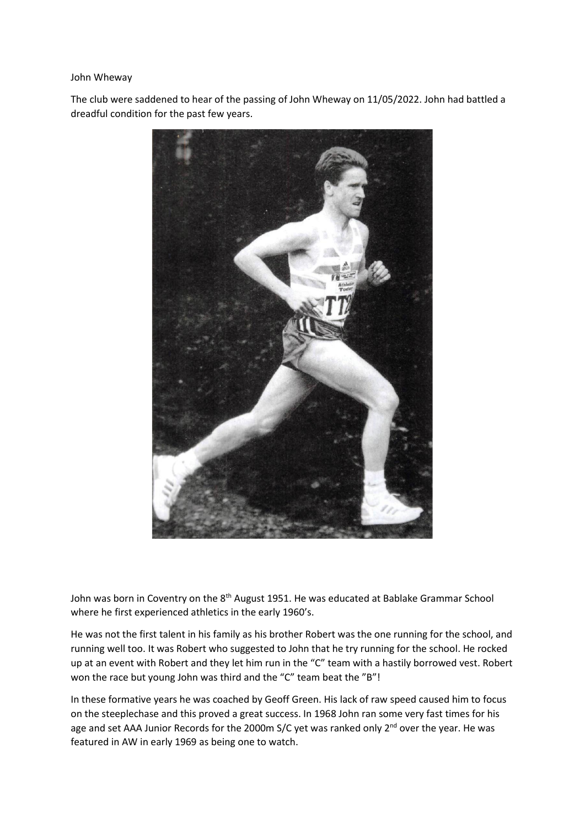## John Wheway

The club were saddened to hear of the passing of John Wheway on 11/05/2022. John had battled a dreadful condition for the past few years.



John was born in Coventry on the 8<sup>th</sup> August 1951. He was educated at Bablake Grammar School where he first experienced athletics in the early 1960's.

He was not the first talent in his family as his brother Robert was the one running for the school, and running well too. It was Robert who suggested to John that he try running for the school. He rocked up at an event with Robert and they let him run in the "C" team with a hastily borrowed vest. Robert won the race but young John was third and the "C" team beat the "B"!

In these formative years he was coached by Geoff Green. His lack of raw speed caused him to focus on the steeplechase and this proved a great success. In 1968 John ran some very fast times for his age and set AAA Junior Records for the 2000m S/C yet was ranked only 2<sup>nd</sup> over the year. He was featured in AW in early 1969 as being one to watch.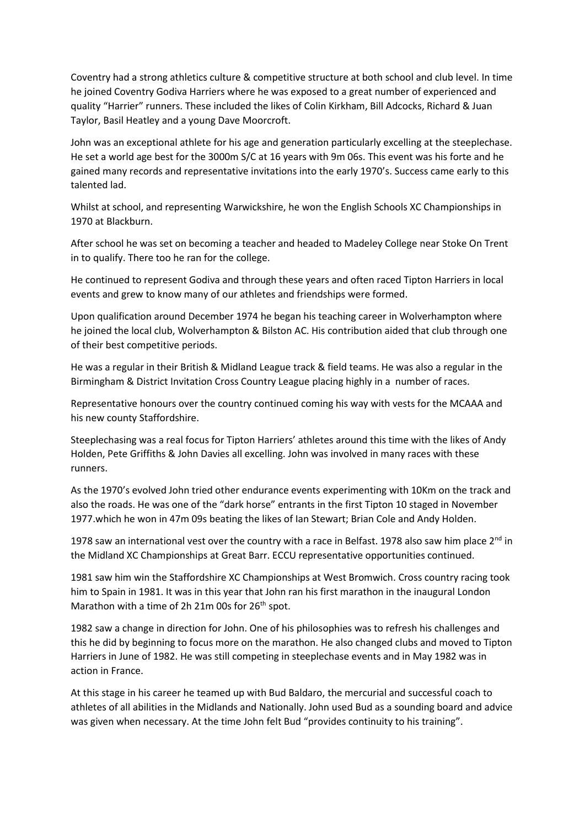Coventry had a strong athletics culture & competitive structure at both school and club level. In time he joined Coventry Godiva Harriers where he was exposed to a great number of experienced and quality "Harrier" runners. These included the likes of Colin Kirkham, Bill Adcocks, Richard & Juan Taylor, Basil Heatley and a young Dave Moorcroft.

John was an exceptional athlete for his age and generation particularly excelling at the steeplechase. He set a world age best for the 3000m S/C at 16 years with 9m 06s. This event was his forte and he gained many records and representative invitations into the early 1970's. Success came early to this talented lad.

Whilst at school, and representing Warwickshire, he won the English Schools XC Championships in 1970 at Blackburn.

After school he was set on becoming a teacher and headed to Madeley College near Stoke On Trent in to qualify. There too he ran for the college.

He continued to represent Godiva and through these years and often raced Tipton Harriers in local events and grew to know many of our athletes and friendships were formed.

Upon qualification around December 1974 he began his teaching career in Wolverhampton where he joined the local club, Wolverhampton & Bilston AC. His contribution aided that club through one of their best competitive periods.

He was a regular in their British & Midland League track & field teams. He was also a regular in the Birmingham & District Invitation Cross Country League placing highly in a number of races.

Representative honours over the country continued coming his way with vests for the MCAAA and his new county Staffordshire.

Steeplechasing was a real focus for Tipton Harriers' athletes around this time with the likes of Andy Holden, Pete Griffiths & John Davies all excelling. John was involved in many races with these runners.

As the 1970's evolved John tried other endurance events experimenting with 10Km on the track and also the roads. He was one of the "dark horse" entrants in the first Tipton 10 staged in November 1977.which he won in 47m 09s beating the likes of Ian Stewart; Brian Cole and Andy Holden.

1978 saw an international vest over the country with a race in Belfast. 1978 also saw him place  $2^{nd}$  in the Midland XC Championships at Great Barr. ECCU representative opportunities continued.

1981 saw him win the Staffordshire XC Championships at West Bromwich. Cross country racing took him to Spain in 1981. It was in this year that John ran his first marathon in the inaugural London Marathon with a time of 2h 21m 00s for  $26<sup>th</sup>$  spot.

1982 saw a change in direction for John. One of his philosophies was to refresh his challenges and this he did by beginning to focus more on the marathon. He also changed clubs and moved to Tipton Harriers in June of 1982. He was still competing in steeplechase events and in May 1982 was in action in France.

At this stage in his career he teamed up with Bud Baldaro, the mercurial and successful coach to athletes of all abilities in the Midlands and Nationally. John used Bud as a sounding board and advice was given when necessary. At the time John felt Bud "provides continuity to his training".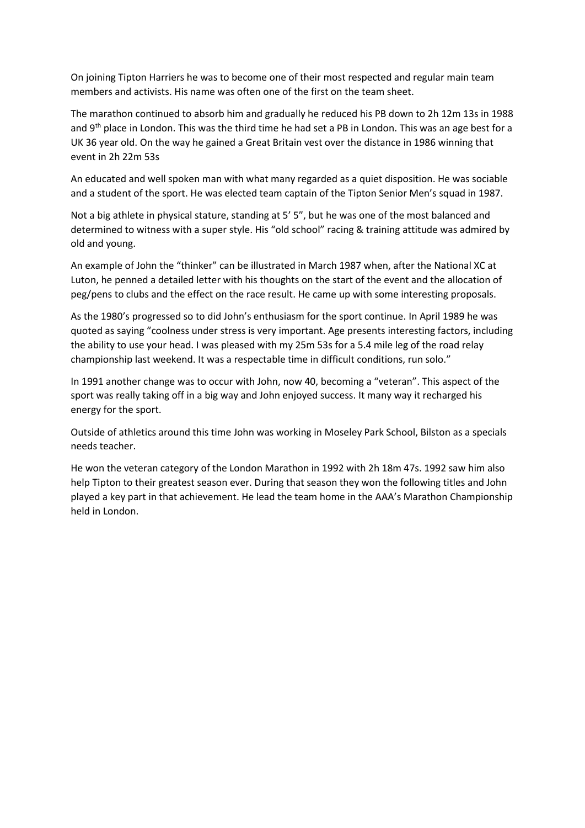On joining Tipton Harriers he was to become one of their most respected and regular main team members and activists. His name was often one of the first on the team sheet.

The marathon continued to absorb him and gradually he reduced his PB down to 2h 12m 13s in 1988 and 9<sup>th</sup> place in London. This was the third time he had set a PB in London. This was an age best for a UK 36 year old. On the way he gained a Great Britain vest over the distance in 1986 winning that event in 2h 22m 53s

An educated and well spoken man with what many regarded as a quiet disposition. He was sociable and a student of the sport. He was elected team captain of the Tipton Senior Men's squad in 1987.

Not a big athlete in physical stature, standing at 5' 5", but he was one of the most balanced and determined to witness with a super style. His "old school" racing & training attitude was admired by old and young.

An example of John the "thinker" can be illustrated in March 1987 when, after the National XC at Luton, he penned a detailed letter with his thoughts on the start of the event and the allocation of peg/pens to clubs and the effect on the race result. He came up with some interesting proposals.

As the 1980's progressed so to did John's enthusiasm for the sport continue. In April 1989 he was quoted as saying "coolness under stress is very important. Age presents interesting factors, including the ability to use your head. I was pleased with my 25m 53s for a 5.4 mile leg of the road relay championship last weekend. It was a respectable time in difficult conditions, run solo."

In 1991 another change was to occur with John, now 40, becoming a "veteran". This aspect of the sport was really taking off in a big way and John enjoyed success. It many way it recharged his energy for the sport.

Outside of athletics around this time John was working in Moseley Park School, Bilston as a specials needs teacher.

He won the veteran category of the London Marathon in 1992 with 2h 18m 47s. 1992 saw him also help Tipton to their greatest season ever. During that season they won the following titles and John played a key part in that achievement. He lead the team home in the AAA's Marathon Championship held in London.